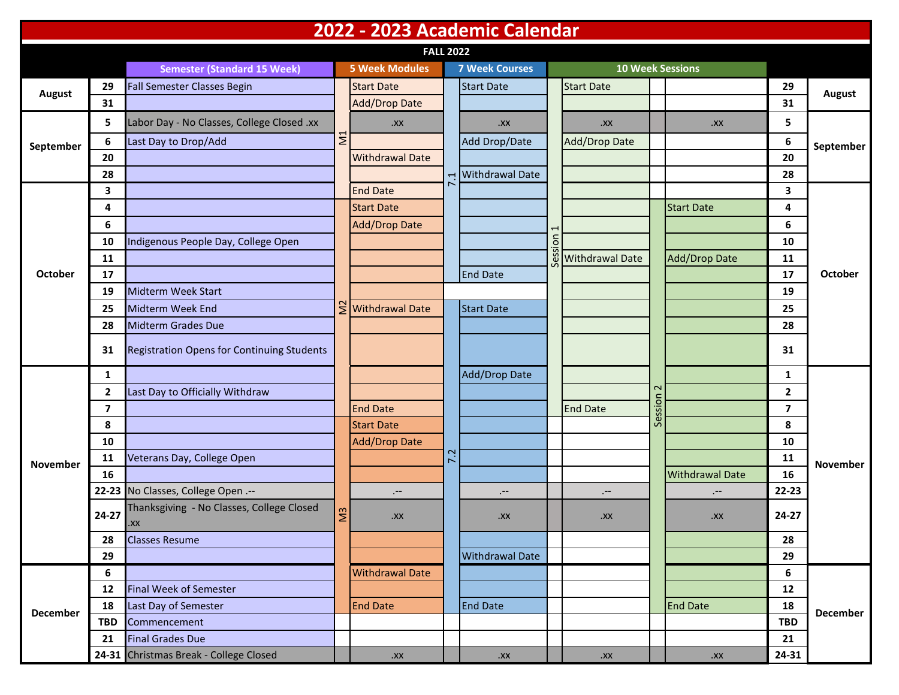| 2022 - 2023 Academic Calendar |                |                                                   |                |                                  |     |                        |                |                      |                              |                         |                         |                 |
|-------------------------------|----------------|---------------------------------------------------|----------------|----------------------------------|-----|------------------------|----------------|----------------------|------------------------------|-------------------------|-------------------------|-----------------|
| <b>FALL 2022</b>              |                |                                                   |                |                                  |     |                        |                |                      |                              |                         |                         |                 |
|                               |                | <b>Semester (Standard 15 Week)</b>                |                | <b>5 Week Modules</b>            |     | <b>7 Week Courses</b>  |                |                      |                              | <b>10 Week Sessions</b> |                         |                 |
| <b>August</b>                 | 29             | <b>Fall Semester Classes Begin</b>                |                | <b>Start Date</b>                |     | <b>Start Date</b>      |                | <b>Start Date</b>    |                              |                         | 29                      | <b>August</b>   |
|                               | 31             |                                                   |                | <b>Add/Drop Date</b>             |     |                        |                |                      |                              |                         | 31                      |                 |
| September                     | 5              | Labor Day - No Classes, College Closed .xx        | $\Sigma$       | $XX$ .                           |     | $XX$ .                 |                | XX                   |                              | $XX$ .                  | 5                       | September       |
|                               | 6              | Last Day to Drop/Add                              |                |                                  |     | Add Drop/Date          |                | <b>Add/Drop Date</b> |                              |                         | 6                       |                 |
|                               | 20             |                                                   |                | <b>Withdrawal Date</b>           |     |                        |                |                      |                              |                         | 20                      |                 |
|                               | 28             |                                                   |                |                                  | 1   | <b>Withdrawal Date</b> |                |                      |                              |                         | 28                      |                 |
|                               | 3              |                                                   |                | <b>End Date</b>                  |     |                        |                |                      |                              |                         | 3                       | <b>October</b>  |
|                               | 4              |                                                   |                | <b>Start Date</b>                |     |                        |                |                      |                              | <b>Start Date</b>       | 4                       |                 |
|                               | 6              |                                                   |                | Add/Drop Date                    |     |                        |                |                      |                              |                         | 6                       |                 |
|                               | 10             | Indigenous People Day, College Open               |                |                                  |     |                        | $\overline{5}$ |                      |                              |                         | 10                      |                 |
|                               | 11             |                                                   |                |                                  |     |                        |                | Withdrawal Date      |                              | <b>Add/Drop Date</b>    | 11                      |                 |
| October                       | 17             |                                                   |                |                                  |     | <b>End Date</b>        |                |                      |                              |                         | 17                      |                 |
|                               | 19             | <b>Midterm Week Start</b>                         |                |                                  |     |                        |                |                      |                              |                         | 19                      |                 |
|                               | 25             | Midterm Week End                                  |                | $\sum_{i=1}^{n}$ Withdrawal Date |     | <b>Start Date</b>      |                |                      |                              |                         | 25                      |                 |
|                               | 28             | <b>Midterm Grades Due</b>                         |                |                                  |     |                        |                |                      |                              |                         | 28                      |                 |
|                               | 31             | <b>Registration Opens for Continuing Students</b> |                |                                  |     |                        |                |                      |                              |                         | 31                      |                 |
|                               | $\mathbf{1}$   |                                                   |                |                                  |     | <b>Add/Drop Date</b>   |                |                      | $\mathbf{\Omega}$<br>Session |                         | 1                       | <b>November</b> |
|                               | 2              | Last Day to Officially Withdraw                   |                |                                  |     |                        |                |                      |                              |                         | $\mathbf{2}$            |                 |
|                               | $\overline{ }$ |                                                   |                | <b>End Date</b>                  |     |                        |                | <b>End Date</b>      |                              |                         | $\overline{\mathbf{z}}$ |                 |
|                               | 8              |                                                   |                | <b>Start Date</b>                |     |                        |                |                      |                              |                         | 8                       |                 |
|                               | 10             |                                                   |                | <b>Add/Drop Date</b>             |     |                        |                |                      |                              |                         | 10                      |                 |
| <b>November</b>               | 11             | Veterans Day, College Open                        |                |                                  | 7.2 |                        |                |                      |                              |                         | 11                      |                 |
|                               | 16             |                                                   | $\overline{M}$ |                                  |     |                        |                |                      |                              | <b>Withdrawal Date</b>  | 16                      |                 |
|                               |                | 22-23 No Classes, College Open .--                |                | .--                              |     | $. - -$                |                | $. - -$              |                              | $. - -$                 | 22-23                   |                 |
|                               | $24 - 27$      | Thanksgiving - No Classes, College Closed<br>.XX  |                | XX.                              |     | .XX                    |                | $XX$ .               |                              | $XX$ .                  | 24-27                   |                 |
|                               | 28             | <b>Classes Resume</b>                             |                |                                  |     |                        |                |                      |                              |                         | 28                      |                 |
|                               | 29             |                                                   |                |                                  |     | <b>Withdrawal Date</b> |                |                      |                              |                         | 29                      |                 |
| <b>December</b>               | 6              |                                                   |                | <b>Withdrawal Date</b>           |     |                        |                |                      | <b>End Date</b>              | 6                       |                         |                 |
|                               | 12             | <b>Final Week of Semester</b>                     |                |                                  |     |                        |                |                      |                              |                         | 12                      |                 |
|                               | 18             | Last Day of Semester                              |                | <b>End Date</b>                  |     | <b>End Date</b>        |                |                      |                              |                         | 18                      | December        |
|                               | <b>TBD</b>     | Commencement                                      |                |                                  |     |                        |                |                      |                              | <b>TBD</b>              |                         |                 |
|                               | 21             | <b>Final Grades Due</b>                           |                |                                  |     |                        |                |                      |                              |                         | 21                      |                 |
|                               |                | 24-31 Christmas Break - College Closed            |                | XX                               |     | $XX$ .                 |                | $\boldsymbol{X}$ .   |                              | $\mathsf{.XX}$          | 24-31                   |                 |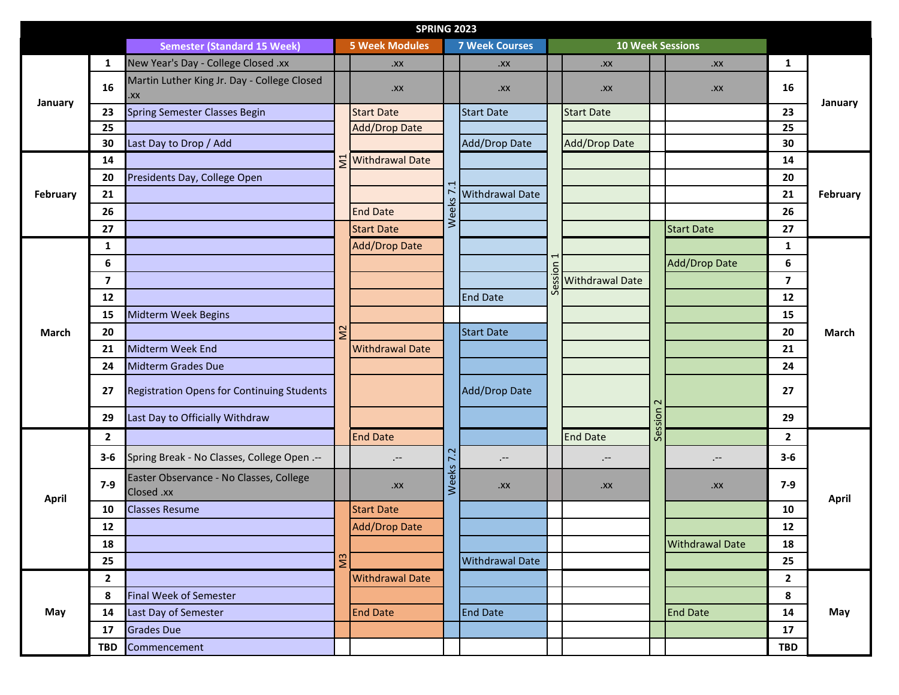|          |                |                                                       |                | <b>SPRING 2023</b>        |               |                        |         |                        |                              |                         |                         |              |
|----------|----------------|-------------------------------------------------------|----------------|---------------------------|---------------|------------------------|---------|------------------------|------------------------------|-------------------------|-------------------------|--------------|
|          |                | <b>Semester (Standard 15 Week)</b>                    |                | <b>5 Week Modules</b>     |               | <b>7 Week Courses</b>  |         |                        |                              | <b>10 Week Sessions</b> |                         |              |
|          | 1              | New Year's Day - College Closed .xx                   |                | $XX$ .                    |               | $XX$ .                 |         | XX.                    |                              | XX                      | $\mathbf{1}$            | January      |
| January  | 16             | Martin Luther King Jr. Day - College Closed<br>XX.    |                | XX.                       |               | $XX$ .                 |         | $XX$ .                 |                              | $XX$ .                  | 16                      |              |
|          | 23             | Spring Semester Classes Begin                         |                | <b>Start Date</b>         |               | <b>Start Date</b>      |         | <b>Start Date</b>      |                              |                         | 23                      |              |
|          | 25             |                                                       |                | <b>Add/Drop Date</b>      |               |                        |         |                        |                              |                         | 25                      |              |
|          | 30             | Last Day to Drop / Add                                |                |                           | Weeks         | Add/Drop Date          |         | Add/Drop Date          |                              |                         | 30                      |              |
|          | 14             |                                                       |                | <u> 동</u> Withdrawal Date |               |                        |         |                        |                              |                         | 14                      | February     |
|          | 20             | Presidents Day, College Open                          |                |                           |               |                        | Session |                        |                              |                         | 20                      |              |
| February | 21             |                                                       |                |                           |               | <b>Withdrawal Date</b> |         |                        |                              |                         | 21                      |              |
|          | 26             |                                                       | $\Sigma$       | <b>End Date</b>           |               |                        |         |                        |                              |                         | 26                      |              |
|          | 27             |                                                       |                | <b>Start Date</b>         |               |                        |         |                        |                              | <b>Start Date</b>       | 27                      |              |
|          | 1              |                                                       |                | <b>Add/Drop Date</b>      |               |                        |         |                        |                              |                         | $\mathbf{1}$            | March        |
|          | 6              |                                                       |                |                           |               |                        |         |                        |                              | <b>Add/Drop Date</b>    | $\boldsymbol{6}$        |              |
|          | $\overline{7}$ |                                                       |                |                           |               |                        |         | <b>Withdrawal Date</b> |                              |                         | $\overline{\mathbf{z}}$ |              |
|          | 12             |                                                       |                |                           |               | <b>End Date</b>        |         |                        |                              |                         | 12                      |              |
|          | 15             | Midterm Week Begins                                   |                |                           |               |                        |         |                        |                              |                         | 15                      |              |
| March    | 20             |                                                       |                |                           |               | <b>Start Date</b>      |         |                        |                              |                         | 20                      |              |
|          | 21             | Midterm Week End                                      |                | <b>Withdrawal Date</b>    |               |                        |         |                        |                              |                         | 21                      |              |
|          | 24             | <b>Midterm Grades Due</b>                             |                |                           |               |                        |         |                        |                              |                         | 24                      |              |
|          | 27             | <b>Registration Opens for Continuing Students</b>     |                |                           | Add/Drop Date |                        |         |                        | $\mathbf{\Omega}$<br>Session |                         | 27                      |              |
|          | 29             | Last Day to Officially Withdraw                       |                |                           |               |                        |         |                        |                              |                         | 29                      |              |
|          | $\overline{2}$ |                                                       |                | <b>End Date</b>           |               | <b>End Date</b>        |         |                        | $\overline{2}$               |                         |                         |              |
|          | $3 - 6$        | Spring Break - No Classes, College Open .--           |                | $. - -$                   | 7.2           | $. - -$                |         | $. - -$                |                              | $. - -$                 | $3-6$                   |              |
| April    | $7-9$          | Easter Observance - No Classes, College<br>Closed .xx |                | XX.                       | Weeks         | $XX$ .                 |         | $XX$ .                 |                              | $XX$ .                  | $7-9$                   | <b>April</b> |
|          | 10             | <b>Classes Resume</b>                                 | M <sup>3</sup> | <b>Start Date</b>         |               |                        |         |                        |                              |                         | 10                      |              |
|          | ${\bf 12}$     |                                                       |                | <b>Add/Drop Date</b>      |               |                        |         |                        |                              |                         | ${\bf 12}$              |              |
|          | 18             |                                                       |                |                           |               |                        |         |                        |                              | <b>Withdrawal Date</b>  | 18                      |              |
|          | 25             |                                                       |                |                           |               | <b>Withdrawal Date</b> |         |                        |                              |                         | 25                      |              |
| May      | $\overline{2}$ |                                                       |                | <b>Withdrawal Date</b>    |               |                        |         |                        |                              |                         | $\mathbf{2}$            |              |
|          | 8              | <b>Final Week of Semester</b>                         |                |                           |               |                        |         |                        |                              |                         | 8                       |              |
|          | 14             | Last Day of Semester                                  |                | <b>End Date</b>           |               | <b>End Date</b>        |         |                        |                              | <b>End Date</b>         | 14                      | May          |
|          | 17             | <b>Grades Due</b>                                     |                |                           |               |                        |         |                        |                              |                         | 17                      |              |
|          | <b>TBD</b>     | Commencement                                          |                |                           |               |                        |         |                        |                              |                         | <b>TBD</b>              |              |